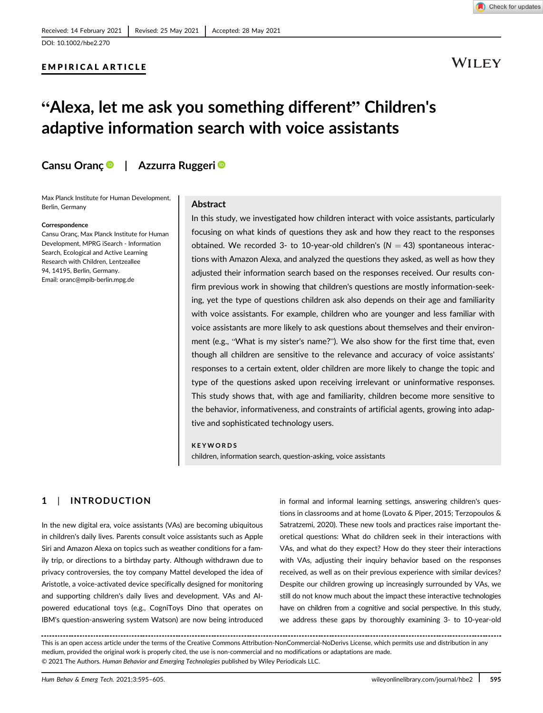# EMPIRICAL ARTICLE

# WILEY

# "Alexa, let me ask you something different" Children's adaptive information search with voice assistants

# Cansu Oranç | Azzurra Ruggeri <sup>®</sup>

Max Planck Institute for Human Development, Berlin, Germany

#### Correspondence

Cansu Oranç, Max Planck Institute for Human Development, MPRG iSearch - Information Search, Ecological and Active Learning Research with Children, Lentzeallee 94, 14195, Berlin, Germany. Email: [oranc@mpib-berlin.mpg.de](mailto:oranc@mpib-berlin.mpg.de)

### Abstract

In this study, we investigated how children interact with voice assistants, particularly focusing on what kinds of questions they ask and how they react to the responses obtained. We recorded 3- to 10-year-old children's ( $N = 43$ ) spontaneous interactions with Amazon Alexa, and analyzed the questions they asked, as well as how they adjusted their information search based on the responses received. Our results confirm previous work in showing that children's questions are mostly information-seeking, yet the type of questions children ask also depends on their age and familiarity with voice assistants. For example, children who are younger and less familiar with voice assistants are more likely to ask questions about themselves and their environment (e.g., "What is my sister's name?"). We also show for the first time that, even though all children are sensitive to the relevance and accuracy of voice assistants' responses to a certain extent, older children are more likely to change the topic and type of the questions asked upon receiving irrelevant or uninformative responses. This study shows that, with age and familiarity, children become more sensitive to the behavior, informativeness, and constraints of artificial agents, growing into adaptive and sophisticated technology users.

#### KEYWORDS

children, information search, question-asking, voice assistants

# 1 | INTRODUCTION

In the new digital era, voice assistants (VAs) are becoming ubiquitous in children's daily lives. Parents consult voice assistants such as Apple Siri and Amazon Alexa on topics such as weather conditions for a family trip, or directions to a birthday party. Although withdrawn due to privacy controversies, the toy company Mattel developed the idea of Aristotle, a voice-activated device specifically designed for monitoring and supporting children's daily lives and development. VAs and AIpowered educational toys (e.g., CogniToys Dino that operates on IBM's question-answering system Watson) are now being introduced in formal and informal learning settings, answering children's questions in classrooms and at home (Lovato & Piper, 2015; Terzopoulos & Satratzemi, 2020). These new tools and practices raise important theoretical questions: What do children seek in their interactions with VAs, and what do they expect? How do they steer their interactions with VAs, adjusting their inquiry behavior based on the responses received, as well as on their previous experience with similar devices? Despite our children growing up increasingly surrounded by VAs, we still do not know much about the impact these interactive technologies have on children from a cognitive and social perspective. In this study, we address these gaps by thoroughly examining 3- to 10-year-old

This is an open access article under the terms of the [Creative Commons Attribution-NonCommercial-NoDerivs](http://creativecommons.org/licenses/by-nc-nd/4.0/) License, which permits use and distribution in any medium, provided the original work is properly cited, the use is non-commercial and no modifications or adaptations are made. © 2021 The Authors. Human Behavior and Emerging Technologies published by Wiley Periodicals LLC.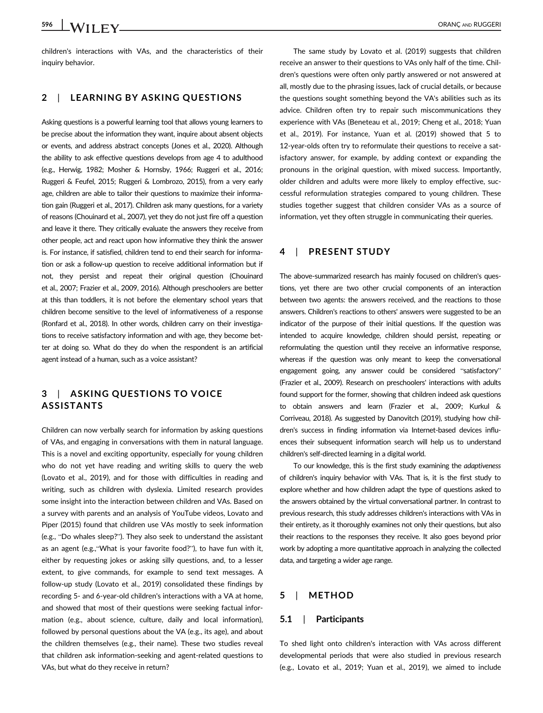children's interactions with VAs, and the characteristics of their inquiry behavior.

# 2 | LEARNING BY ASKING QUESTIONS

Asking questions is a powerful learning tool that allows young learners to be precise about the information they want, inquire about absent objects or events, and address abstract concepts (Jones et al., 2020). Although the ability to ask effective questions develops from age 4 to adulthood (e.g., Herwig, 1982; Mosher & Hornsby, 1966; Ruggeri et al., 2016; Ruggeri & Feufel, 2015; Ruggeri & Lombrozo, 2015), from a very early age, children are able to tailor their questions to maximize their information gain (Ruggeri et al., 2017). Children ask many questions, for a variety of reasons (Chouinard et al., 2007), yet they do not just fire off a question and leave it there. They critically evaluate the answers they receive from other people, act and react upon how informative they think the answer is. For instance, if satisfied, children tend to end their search for information or ask a follow-up question to receive additional information but if not, they persist and repeat their original question (Chouinard et al., 2007; Frazier et al., 2009, 2016). Although preschoolers are better at this than toddlers, it is not before the elementary school years that children become sensitive to the level of informativeness of a response (Ronfard et al., 2018). In other words, children carry on their investigations to receive satisfactory information and with age, they become better at doing so. What do they do when the respondent is an artificial agent instead of a human, such as a voice assistant?

# 3 | ASKING QUESTIONS TO VOICE ASSISTANTS

Children can now verbally search for information by asking questions of VAs, and engaging in conversations with them in natural language. This is a novel and exciting opportunity, especially for young children who do not yet have reading and writing skills to query the web (Lovato et al., 2019), and for those with difficulties in reading and writing, such as children with dyslexia. Limited research provides some insight into the interaction between children and VAs. Based on a survey with parents and an analysis of YouTube videos, Lovato and Piper (2015) found that children use VAs mostly to seek information (e.g., "Do whales sleep?"). They also seek to understand the assistant as an agent (e.g.,"What is your favorite food?"), to have fun with it, either by requesting jokes or asking silly questions, and, to a lesser extent, to give commands, for example to send text messages. A follow-up study (Lovato et al., 2019) consolidated these findings by recording 5- and 6-year-old children's interactions with a VA at home, and showed that most of their questions were seeking factual information (e.g., about science, culture, daily and local information), followed by personal questions about the VA (e.g., its age), and about the children themselves (e.g., their name). These two studies reveal that children ask information-seeking and agent-related questions to VAs, but what do they receive in return?

The same study by Lovato et al. (2019) suggests that children receive an answer to their questions to VAs only half of the time. Children's questions were often only partly answered or not answered at all, mostly due to the phrasing issues, lack of crucial details, or because the questions sought something beyond the VA's abilities such as its advice. Children often try to repair such miscommunications they experience with VAs (Beneteau et al., 2019; Cheng et al., 2018; Yuan et al., 2019). For instance, Yuan et al. (2019) showed that 5 to 12-year-olds often try to reformulate their questions to receive a satisfactory answer, for example, by adding context or expanding the pronouns in the original question, with mixed success. Importantly, older children and adults were more likely to employ effective, successful reformulation strategies compared to young children. These studies together suggest that children consider VAs as a source of information, yet they often struggle in communicating their queries.

# 4 | PRESENT STUDY

The above-summarized research has mainly focused on children's questions, yet there are two other crucial components of an interaction between two agents: the answers received, and the reactions to those answers. Children's reactions to others' answers were suggested to be an indicator of the purpose of their initial questions. If the question was intended to acquire knowledge, children should persist, repeating or reformulating the question until they receive an informative response, whereas if the question was only meant to keep the conversational engagement going, any answer could be considered "satisfactory" (Frazier et al., 2009). Research on preschoolers' interactions with adults found support for the former, showing that children indeed ask questions to obtain answers and learn (Frazier et al., 2009; Kurkul & Corriveau, 2018). As suggested by Danovitch (2019), studying how children's success in finding information via Internet-based devices influences their subsequent information search will help us to understand children's self-directed learning in a digital world.

To our knowledge, this is the first study examining the adaptiveness of children's inquiry behavior with VAs. That is, it is the first study to explore whether and how children adapt the type of questions asked to the answers obtained by the virtual conversational partner. In contrast to previous research, this study addresses children's interactions with VAs in their entirety, as it thoroughly examines not only their questions, but also their reactions to the responses they receive. It also goes beyond prior work by adopting a more quantitative approach in analyzing the collected data, and targeting a wider age range.

## 5 | METHOD

#### 5.1 | Participants

To shed light onto children's interaction with VAs across different developmental periods that were also studied in previous research (e.g., Lovato et al., 2019; Yuan et al., 2019), we aimed to include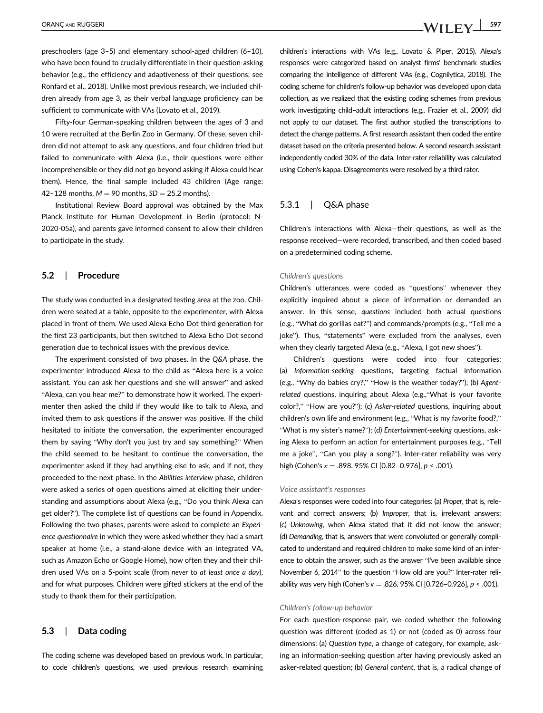preschoolers (age 3–5) and elementary school-aged children (6–10), who have been found to crucially differentiate in their question-asking behavior (e.g., the efficiency and adaptiveness of their questions; see Ronfard et al., 2018). Unlike most previous research, we included children already from age 3, as their verbal language proficiency can be sufficient to communicate with VAs (Lovato et al., 2019).

Fifty-four German-speaking children between the ages of 3 and 10 were recruited at the Berlin Zoo in Germany. Of these, seven children did not attempt to ask any questions, and four children tried but failed to communicate with Alexa (i.e., their questions were either incomprehensible or they did not go beyond asking if Alexa could hear them). Hence, the final sample included 43 children (Age range: 42–128 months,  $M = 90$  months,  $SD = 25.2$  months).

Institutional Review Board approval was obtained by the Max Planck Institute for Human Development in Berlin (protocol: N-2020-05a), and parents gave informed consent to allow their children to participate in the study.

### 5.2 | Procedure

The study was conducted in a designated testing area at the zoo. Children were seated at a table, opposite to the experimenter, with Alexa placed in front of them. We used Alexa Echo Dot third generation for the first 23 participants, but then switched to Alexa Echo Dot second generation due to technical issues with the previous device.

The experiment consisted of two phases. In the Q&A phase, the experimenter introduced Alexa to the child as "Alexa here is a voice assistant. You can ask her questions and she will answer" and asked "Alexa, can you hear me?" to demonstrate how it worked. The experimenter then asked the child if they would like to talk to Alexa, and invited them to ask questions if the answer was positive. If the child hesitated to initiate the conversation, the experimenter encouraged them by saying "Why don't you just try and say something?" When the child seemed to be hesitant to continue the conversation, the experimenter asked if they had anything else to ask, and if not, they proceeded to the next phase. In the Abilities interview phase, children were asked a series of open questions aimed at eliciting their understanding and assumptions about Alexa (e.g., "Do you think Alexa can get older?"). The complete list of questions can be found in Appendix. Following the two phases, parents were asked to complete an Experience questionnaire in which they were asked whether they had a smart speaker at home (i.e., a stand-alone device with an integrated VA, such as Amazon Echo or Google Home), how often they and their children used VAs on a 5-point scale (from never to at least once a day), and for what purposes. Children were gifted stickers at the end of the study to thank them for their participation.

## 5.3 | Data coding

The coding scheme was developed based on previous work. In particular, to code children's questions, we used previous research examining children's interactions with VAs (e.g., Lovato & Piper, 2015). Alexa's responses were categorized based on analyst firms' benchmark studies comparing the intelligence of different VAs (e.g., Cognilytica, 2018). The coding scheme for children's follow-up behavior was developed upon data collection, as we realized that the existing coding schemes from previous work investigating child–adult interactions (e.g., Frazier et al., 2009) did not apply to our dataset. The first author studied the transcriptions to detect the change patterns. A first research assistant then coded the entire dataset based on the criteria presented below. A second research assistant independently coded 30% of the data. Inter-rater reliability was calculated using Cohen's kappa. Disagreements were resolved by a third rater.

# 5.3.1 | Q&A phase

Children's interactions with Alexa—their questions, as well as the response received—were recorded, transcribed, and then coded based on a predetermined coding scheme.

#### Children's questions

Children's utterances were coded as "questions" whenever they explicitly inquired about a piece of information or demanded an answer. In this sense, questions included both actual questions (e.g., "What do gorillas eat?") and commands/prompts (e.g., "Tell me a joke"). Thus, "statements" were excluded from the analyses, even when they clearly targeted Alexa (e.g., "Alexa, I got new shoes").

Children's questions were coded into four categories: (a) Information-seeking questions, targeting factual information (e.g., "Why do babies cry?," "How is the weather today?"); (b) Agentrelated questions, inquiring about Alexa (e.g.,"What is your favorite color?," "How are you?"); (c) Asker-related questions, inquiring about children's own life and environment (e.g., "What is my favorite food?," "What is my sister's name?"); (d) Entertainment-seeking questions, asking Alexa to perform an action for entertainment purposes (e.g., "Tell me a joke", "Can you play a song?"). Inter-rater reliability was very high (Cohen's  $\kappa = .898, 95\%$  CI [0.82-0.976],  $p < .001$ ).

#### Voice assistant's responses

Alexa's responses were coded into four categories: (a) Proper, that is, relevant and correct answers; (b) Improper, that is, irrelevant answers; (c) Unknowing, when Alexa stated that it did not know the answer; (d) Demanding, that is, answers that were convoluted or generally complicated to understand and required children to make some kind of an inference to obtain the answer, such as the answer "I've been available since November 6, 2014" to the question "How old are you?" Inter-rater reliability was very high (Cohen's  $\kappa = .826, 95\%$  CI [0.726-0.926],  $p < .001$ ).

#### Children's follow-up behavior

For each question-response pair, we coded whether the following question was different (coded as 1) or not (coded as 0) across four dimensions: (a) Question type, a change of category, for example, asking an information-seeking question after having previously asked an asker-related question; (b) General content, that is, a radical change of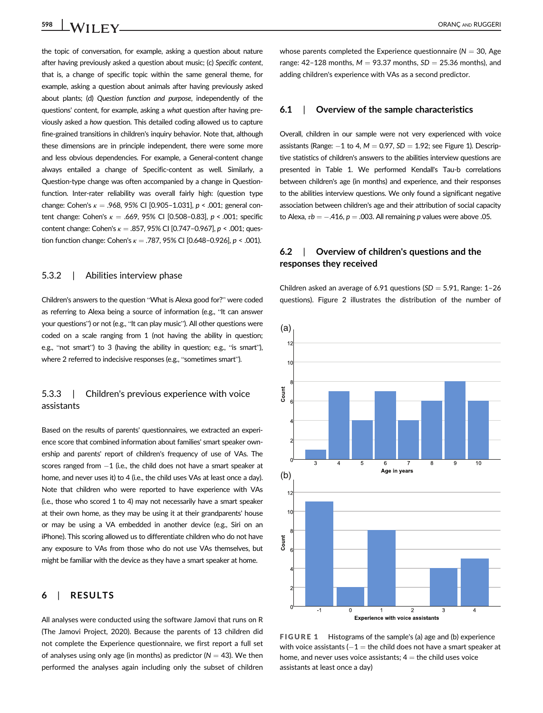the topic of conversation, for example, asking a question about nature after having previously asked a question about music; (c) Specific content, that is, a change of specific topic within the same general theme, for example, asking a question about animals after having previously asked about plants; (d) Question function and purpose, independently of the questions' content, for example, asking a what question after having previously asked a how question. This detailed coding allowed us to capture fine-grained transitions in children's inquiry behavior. Note that, although these dimensions are in principle independent, there were some more and less obvious dependencies. For example, a General-content change always entailed a change of Specific-content as well. Similarly, a Question-type change was often accompanied by a change in Questionfunction. Inter-rater reliability was overall fairly high: (question type change: Cohen's  $\kappa = .968, 95\%$  CI [0.905-1.031],  $p < .001$ ; general content change: Cohen's  $\kappa = .669$ , 95% CI [0.508-0.83],  $p < .001$ ; specific content change: Cohen's  $\kappa = .857, 95\%$  CI [0.747-0.967],  $p < .001$ ; question function change: Cohen's  $\kappa = .787,95\%$  CI [0.648-0.926],  $p < .001$ ).

### 5.3.2 | Abilities interview phase

Children's answers to the question "What is Alexa good for?" were coded as referring to Alexa being a source of information (e.g., "It can answer your questions") or not (e.g., "It can play music"). All other questions were coded on a scale ranging from 1 (not having the ability in question; e.g., "not smart") to 3 (having the ability in question; e.g., "is smart"), where 2 referred to indecisive responses (e.g., "sometimes smart").

# 5.3.3 | Children's previous experience with voice assistants

Based on the results of parents' questionnaires, we extracted an experience score that combined information about families' smart speaker ownership and parents' report of children's frequency of use of VAs. The scores ranged from  $-1$  (i.e., the child does not have a smart speaker at home, and never uses it) to 4 (i.e., the child uses VAs at least once a day). Note that children who were reported to have experience with VAs (i.e., those who scored 1 to 4) may not necessarily have a smart speaker at their own home, as they may be using it at their grandparents' house or may be using a VA embedded in another device (e.g., Siri on an iPhone). This scoring allowed us to differentiate children who do not have any exposure to VAs from those who do not use VAs themselves, but might be familiar with the device as they have a smart speaker at home.

# 6 | RESULTS

All analyses were conducted using the software Jamovi that runs on R (The Jamovi Project, 2020). Because the parents of 13 children did not complete the Experience questionnaire, we first report a full set of analyses using only age (in months) as predictor ( $N = 43$ ). We then performed the analyses again including only the subset of children

whose parents completed the Experience questionnaire ( $N = 30$ , Age range: 42-128 months,  $M = 93.37$  months,  $SD = 25.36$  months), and adding children's experience with VAs as a second predictor.

# 6.1 | Overview of the sample characteristics

Overall, children in our sample were not very experienced with voice assistants (Range:  $-1$  to 4,  $M = 0.97$ ,  $SD = 1.92$ ; see Figure 1). Descriptive statistics of children's answers to the abilities interview questions are presented in Table 1. We performed Kendall's Tau-b correlations between children's age (in months) and experience, and their responses to the abilities interview questions. We only found a significant negative association between children's age and their attribution of social capacity to Alexa,  $\tau b = -.416$ ,  $p = .003$ . All remaining p values were above 0.05.

# 6.2 | Overview of children's questions and the responses they received

Children asked an average of 6.91 questions ( $SD = 5.91$ , Range: 1-26 questions). Figure 2 illustrates the distribution of the number of



FIGURE 1 Histograms of the sample's (a) age and (b) experience with voice assistants ( $-1$  = the child does not have a smart speaker at home, and never uses voice assistants;  $4 =$  the child uses voice assistants at least once a day)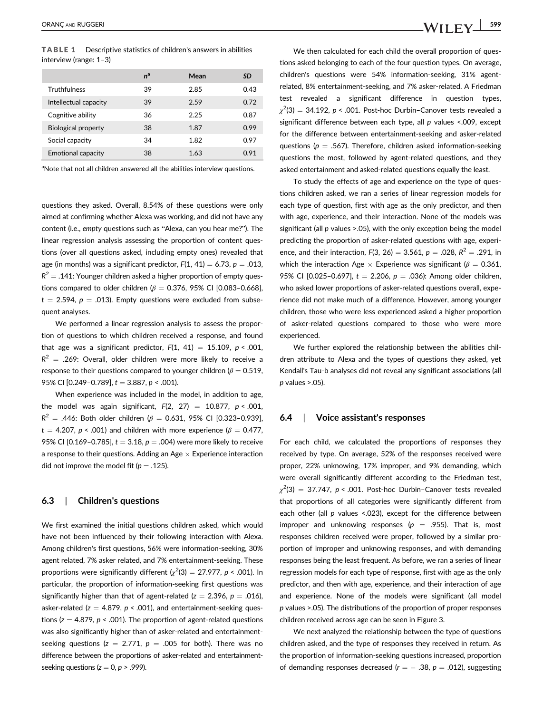TABLE 1 Descriptive statistics of children's answers in abilities interview (range: 1–3)

|                            | $n^a$ | Mean | SD   |
|----------------------------|-------|------|------|
| <b>Truthfulness</b>        | 39    | 2.85 | 0.43 |
| Intellectual capacity      | 39    | 2.59 | 0.72 |
| Cognitive ability          | 36    | 2.25 | 0.87 |
| <b>Biological property</b> | 38    | 1.87 | 0.99 |
| Social capacity            | 34    | 1.82 | 0.97 |
| <b>Emotional capacity</b>  | 38    | 1.63 | 0.91 |

<sup>a</sup>Note that not all children answered all the abilities interview questions.

questions they asked. Overall, 8.54% of these questions were only aimed at confirming whether Alexa was working, and did not have any content (i.e., empty questions such as "Alexa, can you hear me?"). The linear regression analysis assessing the proportion of content questions (over all questions asked, including empty ones) revealed that age (in months) was a significant predictor,  $F(1, 41) = 6.73$ ,  $p = .013$ ,  $R^2 = .141$ : Younger children asked a higher proportion of empty questions compared to older children ( $\beta = 0.376$ , 95% CI [0.083-0.668],  $t = 2.594$ ,  $p = .013$ ). Empty questions were excluded from subsequent analyses.

We performed a linear regression analysis to assess the proportion of questions to which children received a response, and found that age was a significant predictor,  $F(1, 41) = 15.109$ ,  $p < .001$ ,  $R^2$  = .269: Overall, older children were more likely to receive a response to their questions compared to younger children ( $\beta = 0.519$ , 95% CI  $[0.249 - 0.789]$ ,  $t = 3.887$ ,  $p < .001$ ).

When experience was included in the model, in addition to age, the model was again significant,  $F(2, 27) = 10.877$ ,  $p < .001$ ,  $R^{2}$  = .446: Both older children ( $\beta$  = 0.631, 95% CI [0.323-0.939], t = 4.207,  $p < .001$ ) and children with more experience ( $\beta = 0.477$ , 95% CI [0.169-0.785],  $t = 3.18$ ,  $p = .004$ ) were more likely to receive a response to their questions. Adding an Age  $\times$  Experience interaction did not improve the model fit ( $p = .125$ ).

# 6.3 | Children's questions

We first examined the initial questions children asked, which would have not been influenced by their following interaction with Alexa. Among children's first questions, 56% were information-seeking, 30% agent related, 7% asker related, and 7% entertainment-seeking. These proportions were significantly different  $\left(\chi^2(3)=27.977,\, p<.001\right)$ . In particular, the proportion of information-seeking first questions was significantly higher than that of agent-related ( $z = 2.396$ ,  $p = .016$ ), asker-related ( $z = 4.879$ ,  $p < .001$ ), and entertainment-seeking questions ( $z = 4.879$ ,  $p < .001$ ). The proportion of agent-related questions was also significantly higher than of asker-related and entertainmentseeking questions ( $z = 2.771$ ,  $p = .005$  for both). There was no difference between the proportions of asker-related and entertainmentseeking questions ( $z = 0$ ,  $p > .999$ ).

We then calculated for each child the overall proportion of questions asked belonging to each of the four question types. On average, children's questions were 54% information-seeking, 31% agentrelated, 8% entertainment-seeking, and 7% asker-related. A Friedman test revealed a significant difference in question types,  $\chi^2$ (3)  $=$  34.192,  $p$  < .001. Post-hoc Durbin–Canover tests revealed a significant difference between each type, all p values <.009, except for the difference between entertainment-seeking and asker-related questions ( $p = .567$ ). Therefore, children asked information-seeking questions the most, followed by agent-related questions, and they asked entertainment and asked-related questions equally the least.

To study the effects of age and experience on the type of questions children asked, we ran a series of linear regression models for each type of question, first with age as the only predictor, and then with age, experience, and their interaction. None of the models was significant (all  $p$  values >.05), with the only exception being the model predicting the proportion of asker-related questions with age, experience, and their interaction,  $F(3, 26) = 3.561$ ,  $p = .028$ ,  $R^2 = .291$ , in which the interaction Age  $\times$  Experience was significant ( $\beta = 0.361$ , 95% CI [0.025-0.697],  $t = 2.206$ ,  $p = .036$ ): Among older children, who asked lower proportions of asker-related questions overall, experience did not make much of a difference. However, among younger children, those who were less experienced asked a higher proportion of asker-related questions compared to those who were more experienced.

We further explored the relationship between the abilities children attribute to Alexa and the types of questions they asked, yet Kendall's Tau-b analyses did not reveal any significant associations (all  $p$  values  $> 0.05$ ).

## 6.4 | Voice assistant's responses

For each child, we calculated the proportions of responses they received by type. On average, 52% of the responses received were proper, 22% unknowing, 17% improper, and 9% demanding, which were overall significantly different according to the Friedman test,  $\chi^2(3)~=~37.747,~p < .001.$  Post-hoc Durbin–Canover tests revealed that proportions of all categories were significantly different from each other (all  $p$  values <.023), except for the difference between improper and unknowing responses ( $p = .955$ ). That is, most responses children received were proper, followed by a similar proportion of improper and unknowing responses, and with demanding responses being the least frequent. As before, we ran a series of linear regression models for each type of response, first with age as the only predictor, and then with age, experience, and their interaction of age and experience. None of the models were significant (all model p values >.05). The distributions of the proportion of proper responses children received across age can be seen in Figure 3.

We next analyzed the relationship between the type of questions children asked, and the type of responses they received in return. As the proportion of information-seeking questions increased, proportion of demanding responses decreased ( $r = -0.38$ ,  $p = 0.012$ ), suggesting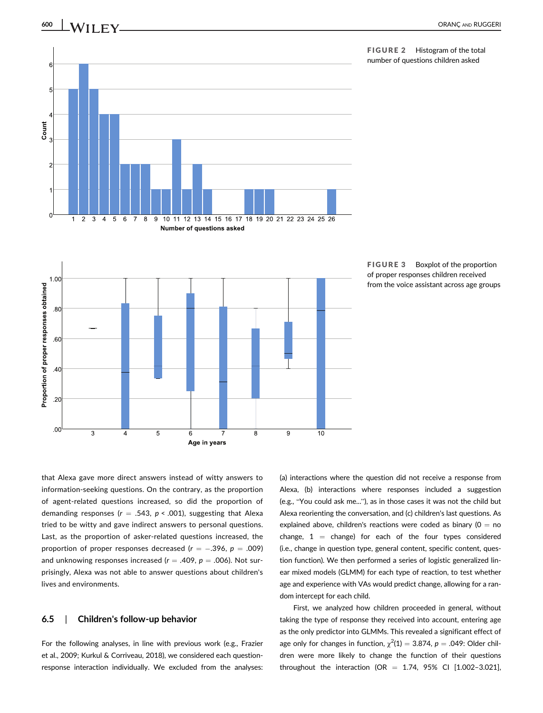

FIGURE 2 Histogram of the total number of questions children asked



FIGURE 3 Boxplot of the proportion of proper responses children received from the voice assistant across age groups

that Alexa gave more direct answers instead of witty answers to information-seeking questions. On the contrary, as the proportion of agent-related questions increased, so did the proportion of demanding responses ( $r = .543$ ,  $p < .001$ ), suggesting that Alexa tried to be witty and gave indirect answers to personal questions. Last, as the proportion of asker-related questions increased, the proportion of proper responses decreased ( $r = -.396$ ,  $p = .009$ ) and unknowing responses increased ( $r = .409$ ,  $p = .006$ ). Not surprisingly, Alexa was not able to answer questions about children's lives and environments.

# 6.5 | Children's follow-up behavior

For the following analyses, in line with previous work (e.g., Frazier et al., 2009; Kurkul & Corriveau, 2018), we considered each questionresponse interaction individually. We excluded from the analyses:

(a) interactions where the question did not receive a response from Alexa, (b) interactions where responses included a suggestion (e.g., "You could ask me..."), as in those cases it was not the child but Alexa reorienting the conversation, and (c) children's last questions. As explained above, children's reactions were coded as binary ( $0 = no$ change,  $1 =$  change) for each of the four types considered (i.e., change in question type, general content, specific content, question function). We then performed a series of logistic generalized linear mixed models (GLMM) for each type of reaction, to test whether age and experience with VAs would predict change, allowing for a random intercept for each child.

First, we analyzed how children proceeded in general, without taking the type of response they received into account, entering age as the only predictor into GLMMs. This revealed a significant effect of age only for changes in function,  $\chi^2(1) = 3.874$ ,  $p = .049$ : Older children were more likely to change the function of their questions throughout the interaction (OR =  $1.74$ , 95% CI [1.002-3.021],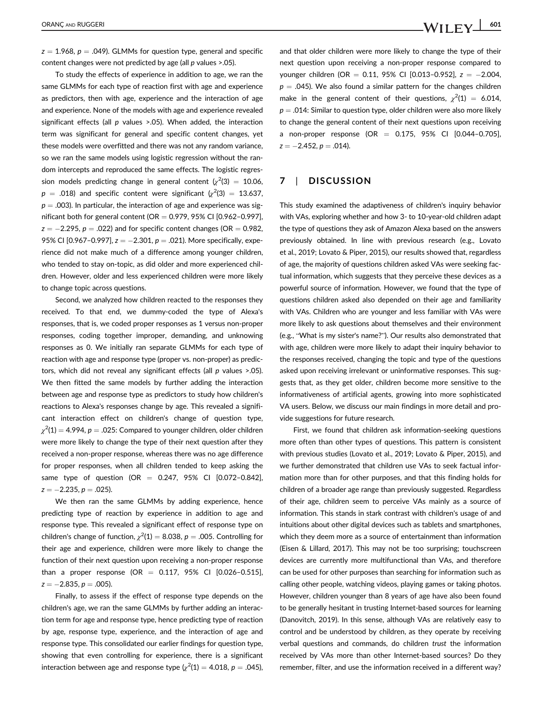$z = 1.968$ ,  $p = .049$ ). GLMMs for question type, general and specific content changes were not predicted by age (all  $p$  values >.05).

To study the effects of experience in addition to age, we ran the same GLMMs for each type of reaction first with age and experience as predictors, then with age, experience and the interaction of age and experience. None of the models with age and experience revealed significant effects (all  $p$  values >.05). When added, the interaction term was significant for general and specific content changes, yet these models were overfitted and there was not any random variance, so we ran the same models using logistic regression without the random intercepts and reproduced the same effects. The logistic regression models predicting change in general content  $\chi^2(3)~=~10.06,$  $p~=~.018)$  and specific content were significant  $\langle \chi^2 (3)~=~13.637,$  $p = .003$ ). In particular, the interaction of age and experience was significant both for general content (OR =  $0.979$ , 95% CI [0.962-0.997],  $z = -2.295$ ,  $p = .022$ ) and for specific content changes (OR = 0.982, 95% CI [0.967-0.997],  $z = -2.301$ ,  $p = .021$ ). More specifically, experience did not make much of a difference among younger children, who tended to stay on-topic, as did older and more experienced children. However, older and less experienced children were more likely to change topic across questions.

Second, we analyzed how children reacted to the responses they received. To that end, we dummy-coded the type of Alexa's responses, that is, we coded proper responses as 1 versus non-proper responses, coding together improper, demanding, and unknowing responses as 0. We initially ran separate GLMMs for each type of reaction with age and response type (proper vs. non-proper) as predictors, which did not reveal any significant effects (all  $p$  values  $> 0.05$ ). We then fitted the same models by further adding the interaction between age and response type as predictors to study how children's reactions to Alexa's responses change by age. This revealed a significant interaction effect on children's change of question type,  $\chi^2$ (1)  $=$  4.994,  $p =$  .025: Compared to younger children, older children were more likely to change the type of their next question after they received a non-proper response, whereas there was no age difference for proper responses, when all children tended to keep asking the same type of question (OR =  $0.247$ , 95% CI  $[0.072 - 0.842]$ ,  $z = -2.235, p = .025$ ).

We then ran the same GLMMs by adding experience, hence predicting type of reaction by experience in addition to age and response type. This revealed a significant effect of response type on children's change of function,  $\chi^2(1) = 8.038$ ,  $p = .005$ . Controlling for their age and experience, children were more likely to change the function of their next question upon receiving a non-proper response than a proper response (OR =  $0.117$ , 95% CI  $[0.026 - 0.515]$ ,  $z = -2.835, p = .005$ ).

Finally, to assess if the effect of response type depends on the children's age, we ran the same GLMMs by further adding an interaction term for age and response type, hence predicting type of reaction by age, response type, experience, and the interaction of age and response type. This consolidated our earlier findings for question type, showing that even controlling for experience, there is a significant interaction between age and response type  $\chi^2$ (1)  $=4.018$ ,  $p = .045$ ),

and that older children were more likely to change the type of their next question upon receiving a non-proper response compared to younger children (OR = 0.11, 95% CI [0.013-0.952],  $z = -2.004$ ,  $p = .045$ ). We also found a similar pattern for the changes children make in the general content of their questions,  $\chi^2(1) = 6.014$ ,  $p = .014$ : Similar to question type, older children were also more likely to change the general content of their next questions upon receiving a non-proper response (OR  $=$  0.175, 95% CI [0.044-0.705],  $z = -2.452, p = .014$ ).

# 7 | DISCUSSION

This study examined the adaptiveness of children's inquiry behavior with VAs, exploring whether and how 3- to 10-year-old children adapt the type of questions they ask of Amazon Alexa based on the answers previously obtained. In line with previous research (e.g., Lovato et al., 2019; Lovato & Piper, 2015), our results showed that, regardless of age, the majority of questions children asked VAs were seeking factual information, which suggests that they perceive these devices as a powerful source of information. However, we found that the type of questions children asked also depended on their age and familiarity with VAs. Children who are younger and less familiar with VAs were more likely to ask questions about themselves and their environment (e.g., "What is my sister's name?"). Our results also demonstrated that with age, children were more likely to adapt their inquiry behavior to the responses received, changing the topic and type of the questions asked upon receiving irrelevant or uninformative responses. This suggests that, as they get older, children become more sensitive to the informativeness of artificial agents, growing into more sophisticated VA users. Below, we discuss our main findings in more detail and provide suggestions for future research.

First, we found that children ask information-seeking questions more often than other types of questions. This pattern is consistent with previous studies (Lovato et al., 2019; Lovato & Piper, 2015), and we further demonstrated that children use VAs to seek factual information more than for other purposes, and that this finding holds for children of a broader age range than previously suggested. Regardless of their age, children seem to perceive VAs mainly as a source of information. This stands in stark contrast with children's usage of and intuitions about other digital devices such as tablets and smartphones, which they deem more as a source of entertainment than information (Eisen & Lillard, 2017). This may not be too surprising; touchscreen devices are currently more multifunctional than VAs, and therefore can be used for other purposes than searching for information such as calling other people, watching videos, playing games or taking photos. However, children younger than 8 years of age have also been found to be generally hesitant in trusting Internet-based sources for learning (Danovitch, 2019). In this sense, although VAs are relatively easy to control and be understood by children, as they operate by receiving verbal questions and commands, do children trust the information received by VAs more than other Internet-based sources? Do they remember, filter, and use the information received in a different way?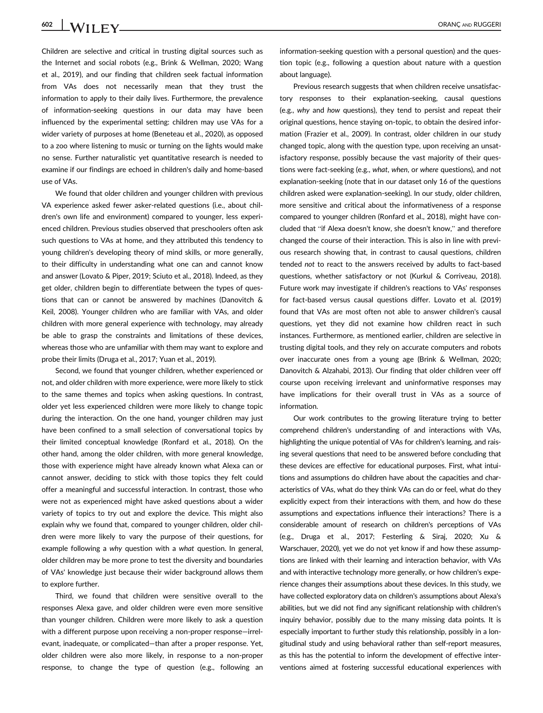602 WII FV CHARGANG RUGGERI

Children are selective and critical in trusting digital sources such as the Internet and social robots (e.g., Brink & Wellman, 2020; Wang et al., 2019), and our finding that children seek factual information from VAs does not necessarily mean that they trust the information to apply to their daily lives. Furthermore, the prevalence of information-seeking questions in our data may have been influenced by the experimental setting: children may use VAs for a wider variety of purposes at home (Beneteau et al., 2020), as opposed to a zoo where listening to music or turning on the lights would make no sense. Further naturalistic yet quantitative research is needed to examine if our findings are echoed in children's daily and home-based use of VAs.

We found that older children and younger children with previous VA experience asked fewer asker-related questions (i.e., about children's own life and environment) compared to younger, less experienced children. Previous studies observed that preschoolers often ask such questions to VAs at home, and they attributed this tendency to young children's developing theory of mind skills, or more generally, to their difficulty in understanding what one can and cannot know and answer (Lovato & Piper, 2019; Sciuto et al., 2018). Indeed, as they get older, children begin to differentiate between the types of questions that can or cannot be answered by machines (Danovitch & Keil, 2008). Younger children who are familiar with VAs, and older children with more general experience with technology, may already be able to grasp the constraints and limitations of these devices, whereas those who are unfamiliar with them may want to explore and probe their limits (Druga et al., 2017; Yuan et al., 2019).

Second, we found that younger children, whether experienced or not, and older children with more experience, were more likely to stick to the same themes and topics when asking questions. In contrast, older yet less experienced children were more likely to change topic during the interaction. On the one hand, younger children may just have been confined to a small selection of conversational topics by their limited conceptual knowledge (Ronfard et al., 2018). On the other hand, among the older children, with more general knowledge, those with experience might have already known what Alexa can or cannot answer, deciding to stick with those topics they felt could offer a meaningful and successful interaction. In contrast, those who were not as experienced might have asked questions about a wider variety of topics to try out and explore the device. This might also explain why we found that, compared to younger children, older children were more likely to vary the purpose of their questions, for example following a why question with a what question. In general, older children may be more prone to test the diversity and boundaries of VAs' knowledge just because their wider background allows them to explore further.

Third, we found that children were sensitive overall to the responses Alexa gave, and older children were even more sensitive than younger children. Children were more likely to ask a question with a different purpose upon receiving a non-proper response—irrelevant, inadequate, or complicated—than after a proper response. Yet, older children were also more likely, in response to a non-proper response, to change the type of question (e.g., following an

information-seeking question with a personal question) and the question topic (e.g., following a question about nature with a question about language).

Previous research suggests that when children receive unsatisfactory responses to their explanation-seeking, causal questions (e.g., why and how questions), they tend to persist and repeat their original questions, hence staying on-topic, to obtain the desired information (Frazier et al., 2009). In contrast, older children in our study changed topic, along with the question type, upon receiving an unsatisfactory response, possibly because the vast majority of their questions were fact-seeking (e.g., what, when, or where questions), and not explanation-seeking (note that in our dataset only 16 of the questions children asked were explanation-seeking). In our study, older children, more sensitive and critical about the informativeness of a response compared to younger children (Ronfard et al., 2018), might have concluded that "if Alexa doesn't know, she doesn't know," and therefore changed the course of their interaction. This is also in line with previous research showing that, in contrast to causal questions, children tended not to react to the answers received by adults to fact-based questions, whether satisfactory or not (Kurkul & Corriveau, 2018). Future work may investigate if children's reactions to VAs' responses for fact-based versus causal questions differ. Lovato et al. (2019) found that VAs are most often not able to answer children's causal questions, yet they did not examine how children react in such instances. Furthermore, as mentioned earlier, children are selective in trusting digital tools, and they rely on accurate computers and robots over inaccurate ones from a young age (Brink & Wellman, 2020; Danovitch & Alzahabi, 2013). Our finding that older children veer off course upon receiving irrelevant and uninformative responses may have implications for their overall trust in VAs as a source of information.

Our work contributes to the growing literature trying to better comprehend children's understanding of and interactions with VAs, highlighting the unique potential of VAs for children's learning, and raising several questions that need to be answered before concluding that these devices are effective for educational purposes. First, what intuitions and assumptions do children have about the capacities and characteristics of VAs, what do they think VAs can do or feel, what do they explicitly expect from their interactions with them, and how do these assumptions and expectations influence their interactions? There is a considerable amount of research on children's perceptions of VAs (e.g., Druga et al., 2017; Festerling & Siraj, 2020; Xu & Warschauer, 2020), yet we do not yet know if and how these assumptions are linked with their learning and interaction behavior, with VAs and with interactive technology more generally, or how children's experience changes their assumptions about these devices. In this study, we have collected exploratory data on children's assumptions about Alexa's abilities, but we did not find any significant relationship with children's inquiry behavior, possibly due to the many missing data points. It is especially important to further study this relationship, possibly in a longitudinal study and using behavioral rather than self-report measures, as this has the potential to inform the development of effective interventions aimed at fostering successful educational experiences with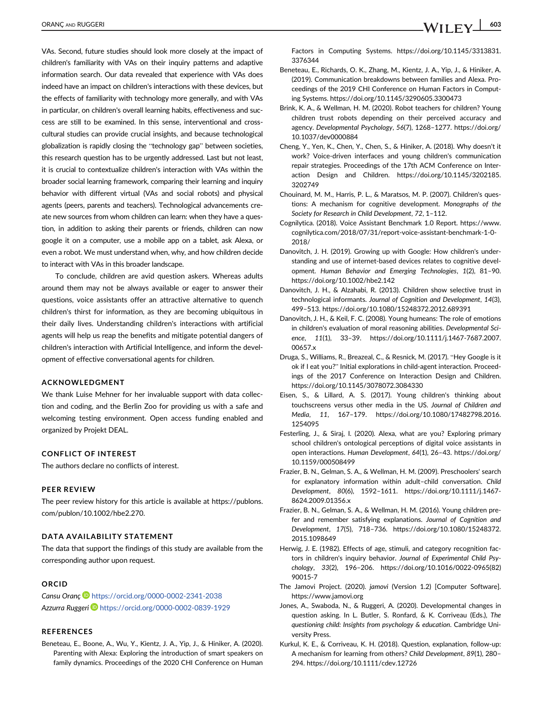VAs. Second, future studies should look more closely at the impact of children's familiarity with VAs on their inquiry patterns and adaptive information search. Our data revealed that experience with VAs does indeed have an impact on children's interactions with these devices, but the effects of familiarity with technology more generally, and with VAs in particular, on children's overall learning habits, effectiveness and success are still to be examined. In this sense, interventional and crosscultural studies can provide crucial insights, and because technological globalization is rapidly closing the "technology gap" between societies, this research question has to be urgently addressed. Last but not least, it is crucial to contextualize children's interaction with VAs within the broader social learning framework, comparing their learning and inquiry behavior with different virtual (VAs and social robots) and physical agents (peers, parents and teachers). Technological advancements create new sources from whom children can learn: when they have a question, in addition to asking their parents or friends, children can now google it on a computer, use a mobile app on a tablet, ask Alexa, or even a robot. We must understand when, why, and how children decide to interact with VAs in this broader landscape.

To conclude, children are avid question askers. Whereas adults around them may not be always available or eager to answer their questions, voice assistants offer an attractive alternative to quench children's thirst for information, as they are becoming ubiquitous in their daily lives. Understanding children's interactions with artificial agents will help us reap the benefits and mitigate potential dangers of children's interaction with Artificial Intelligence, and inform the development of effective conversational agents for children.

#### ACKNOWLEDGMENT

We thank Luise Mehner for her invaluable support with data collection and coding, and the Berlin Zoo for providing us with a safe and welcoming testing environment. Open access funding enabled and organized by Projekt DEAL.

#### CONFLICT OF INTEREST

The authors declare no conflicts of interest.

#### PEER REVIEW

The peer review history for this article is available at [https://publons.](https://publons.com/publon/10.1002/hbe2.270) [com/publon/10.1002/hbe2.270](https://publons.com/publon/10.1002/hbe2.270).

#### DATA AVAILABILITY STATEMENT

The data that support the findings of this study are available from the corresponding author upon request.

#### ORCID

Cansu Oranç D <https://orcid.org/0000-0002-2341-2038> Azzurra Ruggeri<sup>D</sup> <https://orcid.org/0000-0002-0839-1929>

### REFERENCES

Beneteau, E., Boone, A., Wu, Y., Kientz, J. A., Yip, J., & Hiniker, A. (2020). Parenting with Alexa: Exploring the introduction of smart speakers on family dynamics. Proceedings of the 2020 CHI Conference on Human Factors in Computing Systems. [https://doi.org/10.1145/3313831.](https://doi.org/10.1145/3313831.3376344) [3376344](https://doi.org/10.1145/3313831.3376344)

- Beneteau, E., Richards, O. K., Zhang, M., Kientz, J. A., Yip, J., & Hiniker, A. (2019). Communication breakdowns between families and Alexa. Proceedings of the 2019 CHI Conference on Human Factors in Computing Systems.<https://doi.org/10.1145/3290605.3300473>
- Brink, K. A., & Wellman, H. M. (2020). Robot teachers for children? Young children trust robots depending on their perceived accuracy and agency. Developmental Psychology, 56(7), 1268–1277. [https://doi.org/](https://doi.org/10.1037/dev0000884) [10.1037/dev0000884](https://doi.org/10.1037/dev0000884)
- Cheng, Y., Yen, K., Chen, Y., Chen, S., & Hiniker, A. (2018). Why doesn't it work? Voice-driven interfaces and young children's communication repair strategies. Proceedings of the 17th ACM Conference on Interaction Design and Children. [https://doi.org/10.1145/3202185.](https://doi.org/10.1145/3202185.3202749) [3202749](https://doi.org/10.1145/3202185.3202749)
- Chouinard, M. M., Harris, P. L., & Maratsos, M. P. (2007). Children's questions: A mechanism for cognitive development. Monographs of the Society for Research in Child Development, 72, 1–112.
- Cognilytica. (2018). Voice Assistant Benchmark 1.0 Report. [https://www.](https://www.cognilytica.com/2018/07/31/report-voice-assistant-benchmark-1-0-2018/) [cognilytica.com/2018/07/31/report-voice-assistant-benchmark-1-0-](https://www.cognilytica.com/2018/07/31/report-voice-assistant-benchmark-1-0-2018/) [2018/](https://www.cognilytica.com/2018/07/31/report-voice-assistant-benchmark-1-0-2018/)
- Danovitch, J. H. (2019). Growing up with Google: How children's understanding and use of internet-based devices relates to cognitive development. Human Behavior and Emerging Technologies, 1(2), 81–90. <https://doi.org/10.1002/hbe2.142>
- Danovitch, J. H., & Alzahabi, R. (2013). Children show selective trust in technological informants. Journal of Cognition and Development, 14(3), 499–513.<https://doi.org/10.1080/15248372.2012.689391>
- Danovitch, J. H., & Keil, F. C. (2008). Young humeans: The role of emotions in children's evaluation of moral reasoning abilities. Developmental Science, 11(1), 33–39. [https://doi.org/10.1111/j.1467-7687.2007.](https://doi.org/10.1111/j.1467-7687.2007.00657.x) [00657.x](https://doi.org/10.1111/j.1467-7687.2007.00657.x)
- Druga, S., Williams, R., Breazeal, C., & Resnick, M. (2017). "Hey Google is it ok if I eat you?" Initial explorations in child-agent interaction. Proceedings of the 2017 Conference on Interaction Design and Children. <https://doi.org/10.1145/3078072.3084330>
- Eisen, S., & Lillard, A. S. (2017). Young children's thinking about touchscreens versus other media in the US. Journal of Children and Media, 11, 167–179. [https://doi.org/10.1080/17482798.2016.](https://doi.org/10.1080/17482798.2016.1254095) [1254095](https://doi.org/10.1080/17482798.2016.1254095)
- Festerling, J., & Siraj, I. (2020). Alexa, what are you? Exploring primary school children's ontological perceptions of digital voice assistants in open interactions. Human Development, 64(1), 26–43. [https://doi.org/](https://doi.org/10.1159/000508499) [10.1159/000508499](https://doi.org/10.1159/000508499)
- Frazier, B. N., Gelman, S. A., & Wellman, H. M. (2009). Preschoolers' search for explanatory information within adult–child conversation. Child Development, 80(6), 1592–1611. [https://doi.org/10.1111/j.1467-](https://doi.org/10.1111/j.1467-8624.2009.01356.x) [8624.2009.01356.x](https://doi.org/10.1111/j.1467-8624.2009.01356.x)
- Frazier, B. N., Gelman, S. A., & Wellman, H. M. (2016). Young children prefer and remember satisfying explanations. Journal of Cognition and Development, 17(5), 718–736. [https://doi.org/10.1080/15248372.](https://doi.org/10.1080/15248372.2015.1098649) [2015.1098649](https://doi.org/10.1080/15248372.2015.1098649)
- Herwig, J. E. (1982). Effects of age, stimuli, and category recognition factors in children's inquiry behavior. Journal of Experimental Child Psychology, 33(2), 196–206. [https://doi.org/10.1016/0022-0965\(82\)](https://doi.org/10.1016/0022-0965(82)90015-7) [90015-7](https://doi.org/10.1016/0022-0965(82)90015-7)
- The Jamovi Project. (2020). jamovi (Version 1.2) [Computer Software]. <https://www.jamovi.org>
- Jones, A., Swaboda, N., & Ruggeri, A. (2020). Developmental changes in question asking. In L. Butler, S. Ronfard, & K. Corriveau (Eds.), The questioning child: Insights from psychology & education. Cambridge University Press.
- Kurkul, K. E., & Corriveau, K. H. (2018). Question, explanation, follow-up: A mechanism for learning from others? Child Development, 89(1), 280– 294.<https://doi.org/10.1111/cdev.12726>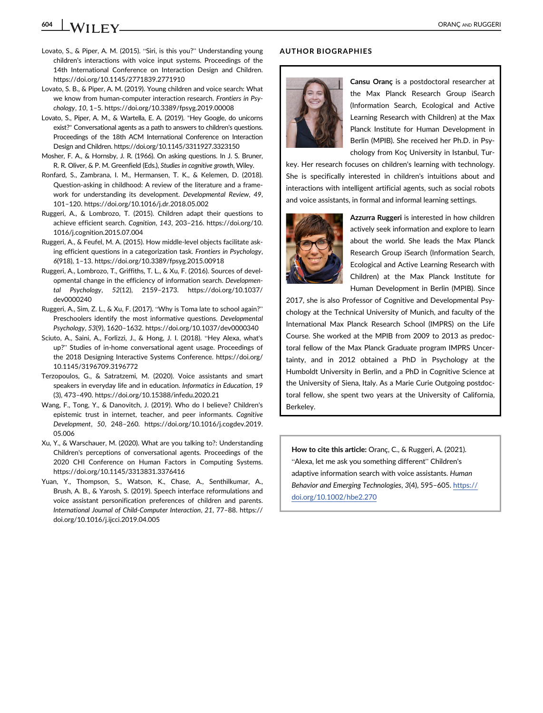# 604 ORANÇ AND RUGGERI

- Lovato, S., & Piper, A. M. (2015). "Siri, is this you?" Understanding young children's interactions with voice input systems. Proceedings of the 14th International Conference on Interaction Design and Children. <https://doi.org/10.1145/2771839.2771910>
- Lovato, S. B., & Piper, A. M. (2019). Young children and voice search: What we know from human-computer interaction research. Frontiers in Psychology, 10, 1–5.<https://doi.org/10.3389/fpsyg.2019.00008>
- Lovato, S., Piper, A. M., & Wartella, E. A. (2019). "Hey Google, do unicorns exist?" Conversational agents as a path to answers to children's questions. Proceedings of the 18th ACM International Conference on Interaction Design and Children.<https://doi.org/10.1145/3311927.3323150>
- Mosher, F. A., & Hornsby, J. R. (1966). On asking questions. In J. S. Bruner, R. R. Oliver, & P. M. Greenfield (Eds.), Studies in cognitive growth, Wiley.
- Ronfard, S., Zambrana, I. M., Hermansen, T. K., & Kelemen, D. (2018). Question-asking in childhood: A review of the literature and a framework for understanding its development. Developmental Review, 49, 101–120.<https://doi.org/10.1016/j.dr.2018.05.002>
- Ruggeri, A., & Lombrozo, T. (2015). Children adapt their questions to achieve efficient search. Cognition, 143, 203–216. [https://doi.org/10.](https://doi.org/10.1016/j.cognition.2015.07.004) [1016/j.cognition.2015.07.004](https://doi.org/10.1016/j.cognition.2015.07.004)
- Ruggeri, A., & Feufel, M. A. (2015). How middle-level objects facilitate asking efficient questions in a categorization task. Frontiers in Psychology, 6(918), 1–13.<https://doi.org/10.3389/fpsyg.2015.00918>
- Ruggeri, A., Lombrozo, T., Griffiths, T. L., & Xu, F. (2016). Sources of developmental change in the efficiency of information search. Developmental Psychology, 52(12), 2159–2173. [https://doi.org/10.1037/](https://doi.org/10.1037/dev0000240) [dev0000240](https://doi.org/10.1037/dev0000240)
- Ruggeri, A., Sim, Z. L., & Xu, F. (2017). "Why is Toma late to school again?" Preschoolers identify the most informative questions. Developmental Psychology, 53(9), 1620–1632.<https://doi.org/10.1037/dev0000340>
- Sciuto, A., Saini, A., Forlizzi, J., & Hong, J. I. (2018). "Hey Alexa, what's up?" Studies of in-home conversational agent usage. Proceedings of the 2018 Designing Interactive Systems Conference. [https://doi.org/](https://doi.org/10.1145/3196709.3196772) [10.1145/3196709.3196772](https://doi.org/10.1145/3196709.3196772)
- Terzopoulos, G., & Satratzemi, M. (2020). Voice assistants and smart speakers in everyday life and in education. Informatics in Education, 19 (3), 473–490.<https://doi.org/10.15388/infedu.2020.21>
- Wang, F., Tong, Y., & Danovitch, J. (2019). Who do I believe? Children's epistemic trust in internet, teacher, and peer informants. Cognitive Development, 50, 248–260. [https://doi.org/10.1016/j.cogdev.2019.](https://doi.org/10.1016/j.cogdev.2019.05.006) [05.006](https://doi.org/10.1016/j.cogdev.2019.05.006)
- Xu, Y., & Warschauer, M. (2020). What are you talking to?: Understanding Children's perceptions of conversational agents. Proceedings of the 2020 CHI Conference on Human Factors in Computing Systems. <https://doi.org/10.1145/3313831.3376416>
- Yuan, Y., Thompson, S., Watson, K., Chase, A., Senthilkumar, A., Brush, A. B., & Yarosh, S. (2019). Speech interface reformulations and voice assistant personification preferences of children and parents. International Journal of Child-Computer Interaction, 21, 77–88. [https://](https://doi.org/10.1016/j.ijcci.2019.04.005) [doi.org/10.1016/j.ijcci.2019.04.005](https://doi.org/10.1016/j.ijcci.2019.04.005)

#### AUTHOR BIOGRAPHIES



Cansu Oranç is a postdoctoral researcher at the Max Planck Research Group iSearch (Information Search, Ecological and Active Learning Research with Children) at the Max Planck Institute for Human Development in Berlin (MPIB). She received her Ph.D. in Psychology from Koç University in Istanbul, Tur-

key. Her research focuses on children's learning with technology. She is specifically interested in children's intuitions about and interactions with intelligent artificial agents, such as social robots and voice assistants, in formal and informal learning settings.



Azzurra Ruggeri is interested in how children actively seek information and explore to learn about the world. She leads the Max Planck Research Group iSearch (Information Search, Ecological and Active Learning Research with Children) at the Max Planck Institute for Human Development in Berlin (MPIB). Since

2017, she is also Professor of Cognitive and Developmental Psychology at the Technical University of Munich, and faculty of the International Max Planck Research School (IMPRS) on the Life Course. She worked at the MPIB from 2009 to 2013 as predoctoral fellow of the Max Planck Graduate program IMPRS Uncertainty, and in 2012 obtained a PhD in Psychology at the Humboldt University in Berlin, and a PhD in Cognitive Science at the University of Siena, Italy. As a Marie Curie Outgoing postdoctoral fellow, she spent two years at the University of California, Berkeley.

How to cite this article: Oranç, C., & Ruggeri, A. (2021). "Alexa, let me ask you something different" Children's adaptive information search with voice assistants. Human Behavior and Emerging Technologies, 3(4), 595–605. [https://](https://doi.org/10.1002/hbe2.270) [doi.org/10.1002/hbe2.270](https://doi.org/10.1002/hbe2.270)